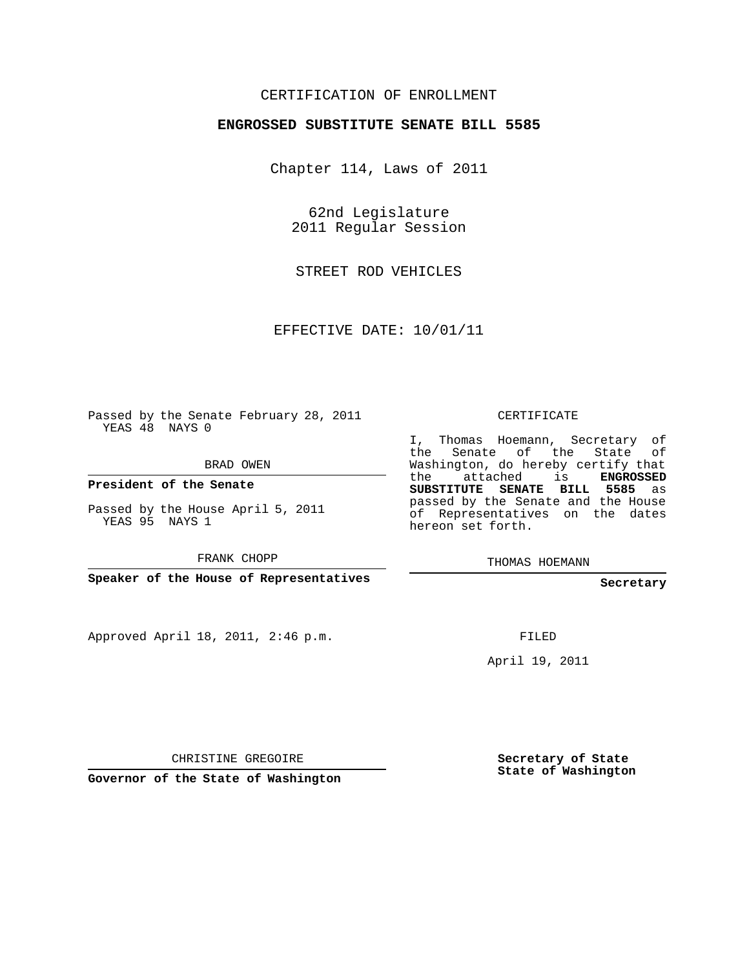## CERTIFICATION OF ENROLLMENT

## **ENGROSSED SUBSTITUTE SENATE BILL 5585**

Chapter 114, Laws of 2011

62nd Legislature 2011 Regular Session

STREET ROD VEHICLES

EFFECTIVE DATE: 10/01/11

Passed by the Senate February 28, 2011 YEAS 48 NAYS 0

BRAD OWEN

**President of the Senate**

Passed by the House April 5, 2011 YEAS 95 NAYS 1

FRANK CHOPP

**Speaker of the House of Representatives**

Approved April 18, 2011, 2:46 p.m.

CERTIFICATE

I, Thomas Hoemann, Secretary of the Senate of the State of Washington, do hereby certify that the attached is **ENGROSSED SUBSTITUTE SENATE BILL 5585** as passed by the Senate and the House of Representatives on the dates hereon set forth.

THOMAS HOEMANN

**Secretary**

FILED

April 19, 2011

CHRISTINE GREGOIRE

**Governor of the State of Washington**

**Secretary of State State of Washington**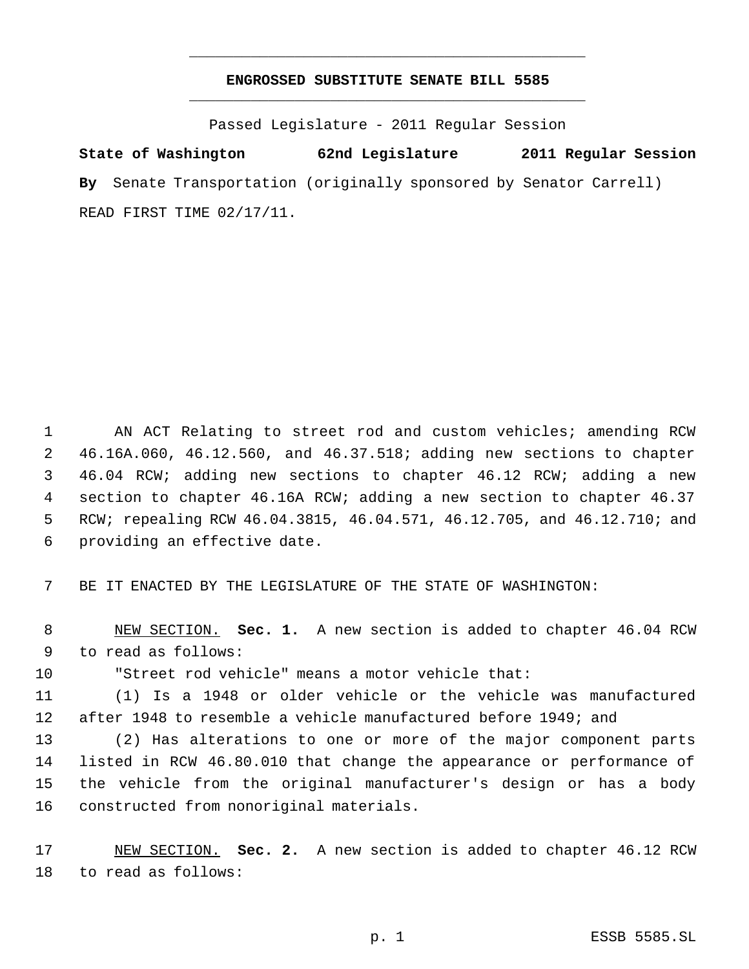## **ENGROSSED SUBSTITUTE SENATE BILL 5585** \_\_\_\_\_\_\_\_\_\_\_\_\_\_\_\_\_\_\_\_\_\_\_\_\_\_\_\_\_\_\_\_\_\_\_\_\_\_\_\_\_\_\_\_\_

\_\_\_\_\_\_\_\_\_\_\_\_\_\_\_\_\_\_\_\_\_\_\_\_\_\_\_\_\_\_\_\_\_\_\_\_\_\_\_\_\_\_\_\_\_

Passed Legislature - 2011 Regular Session

**State of Washington 62nd Legislature 2011 Regular Session By** Senate Transportation (originally sponsored by Senator Carrell) READ FIRST TIME 02/17/11.

 AN ACT Relating to street rod and custom vehicles; amending RCW 46.16A.060, 46.12.560, and 46.37.518; adding new sections to chapter 46.04 RCW; adding new sections to chapter 46.12 RCW; adding a new section to chapter 46.16A RCW; adding a new section to chapter 46.37 RCW; repealing RCW 46.04.3815, 46.04.571, 46.12.705, and 46.12.710; and providing an effective date.

BE IT ENACTED BY THE LEGISLATURE OF THE STATE OF WASHINGTON:

 NEW SECTION. **Sec. 1.** A new section is added to chapter 46.04 RCW to read as follows:

"Street rod vehicle" means a motor vehicle that:

 (1) Is a 1948 or older vehicle or the vehicle was manufactured after 1948 to resemble a vehicle manufactured before 1949; and

 (2) Has alterations to one or more of the major component parts listed in RCW 46.80.010 that change the appearance or performance of the vehicle from the original manufacturer's design or has a body constructed from nonoriginal materials.

 NEW SECTION. **Sec. 2.** A new section is added to chapter 46.12 RCW to read as follows: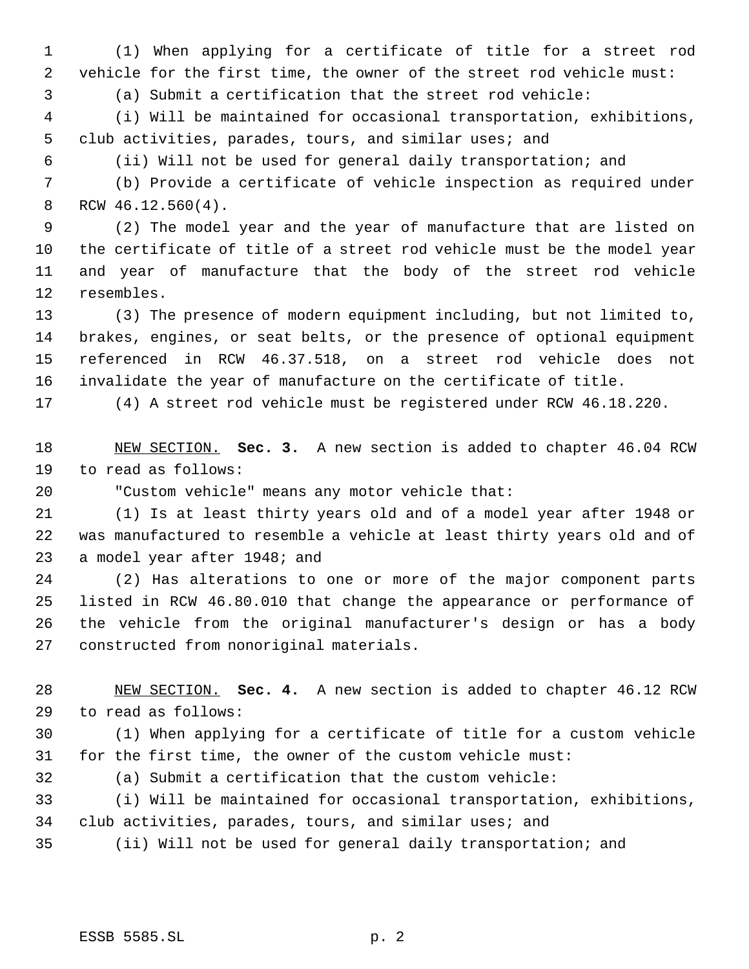(1) When applying for a certificate of title for a street rod vehicle for the first time, the owner of the street rod vehicle must:

(a) Submit a certification that the street rod vehicle:

 (i) Will be maintained for occasional transportation, exhibitions, club activities, parades, tours, and similar uses; and

(ii) Will not be used for general daily transportation; and

 (b) Provide a certificate of vehicle inspection as required under RCW 46.12.560(4).

 (2) The model year and the year of manufacture that are listed on the certificate of title of a street rod vehicle must be the model year and year of manufacture that the body of the street rod vehicle resembles.

 (3) The presence of modern equipment including, but not limited to, brakes, engines, or seat belts, or the presence of optional equipment referenced in RCW 46.37.518, on a street rod vehicle does not invalidate the year of manufacture on the certificate of title.

(4) A street rod vehicle must be registered under RCW 46.18.220.

 NEW SECTION. **Sec. 3.** A new section is added to chapter 46.04 RCW to read as follows:

"Custom vehicle" means any motor vehicle that:

 (1) Is at least thirty years old and of a model year after 1948 or was manufactured to resemble a vehicle at least thirty years old and of a model year after 1948; and

 (2) Has alterations to one or more of the major component parts listed in RCW 46.80.010 that change the appearance or performance of the vehicle from the original manufacturer's design or has a body constructed from nonoriginal materials.

 NEW SECTION. **Sec. 4.** A new section is added to chapter 46.12 RCW to read as follows:

 (1) When applying for a certificate of title for a custom vehicle for the first time, the owner of the custom vehicle must:

(a) Submit a certification that the custom vehicle:

 (i) Will be maintained for occasional transportation, exhibitions, club activities, parades, tours, and similar uses; and

(ii) Will not be used for general daily transportation; and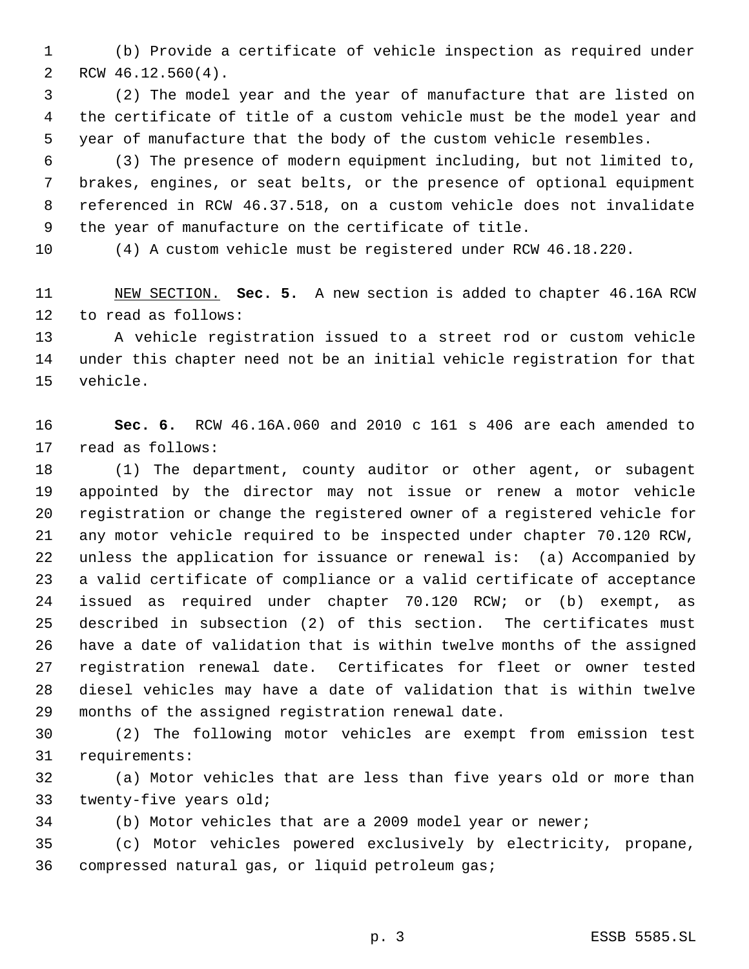(b) Provide a certificate of vehicle inspection as required under RCW 46.12.560(4).

 (2) The model year and the year of manufacture that are listed on the certificate of title of a custom vehicle must be the model year and year of manufacture that the body of the custom vehicle resembles.

 (3) The presence of modern equipment including, but not limited to, brakes, engines, or seat belts, or the presence of optional equipment referenced in RCW 46.37.518, on a custom vehicle does not invalidate the year of manufacture on the certificate of title.

(4) A custom vehicle must be registered under RCW 46.18.220.

 NEW SECTION. **Sec. 5.** A new section is added to chapter 46.16A RCW to read as follows:

 A vehicle registration issued to a street rod or custom vehicle under this chapter need not be an initial vehicle registration for that vehicle.

 **Sec. 6.** RCW 46.16A.060 and 2010 c 161 s 406 are each amended to read as follows:

 (1) The department, county auditor or other agent, or subagent appointed by the director may not issue or renew a motor vehicle registration or change the registered owner of a registered vehicle for any motor vehicle required to be inspected under chapter 70.120 RCW, unless the application for issuance or renewal is: (a) Accompanied by a valid certificate of compliance or a valid certificate of acceptance issued as required under chapter 70.120 RCW; or (b) exempt, as described in subsection (2) of this section. The certificates must have a date of validation that is within twelve months of the assigned registration renewal date. Certificates for fleet or owner tested diesel vehicles may have a date of validation that is within twelve months of the assigned registration renewal date.

 (2) The following motor vehicles are exempt from emission test requirements:

 (a) Motor vehicles that are less than five years old or more than twenty-five years old;

(b) Motor vehicles that are a 2009 model year or newer;

 (c) Motor vehicles powered exclusively by electricity, propane, compressed natural gas, or liquid petroleum gas;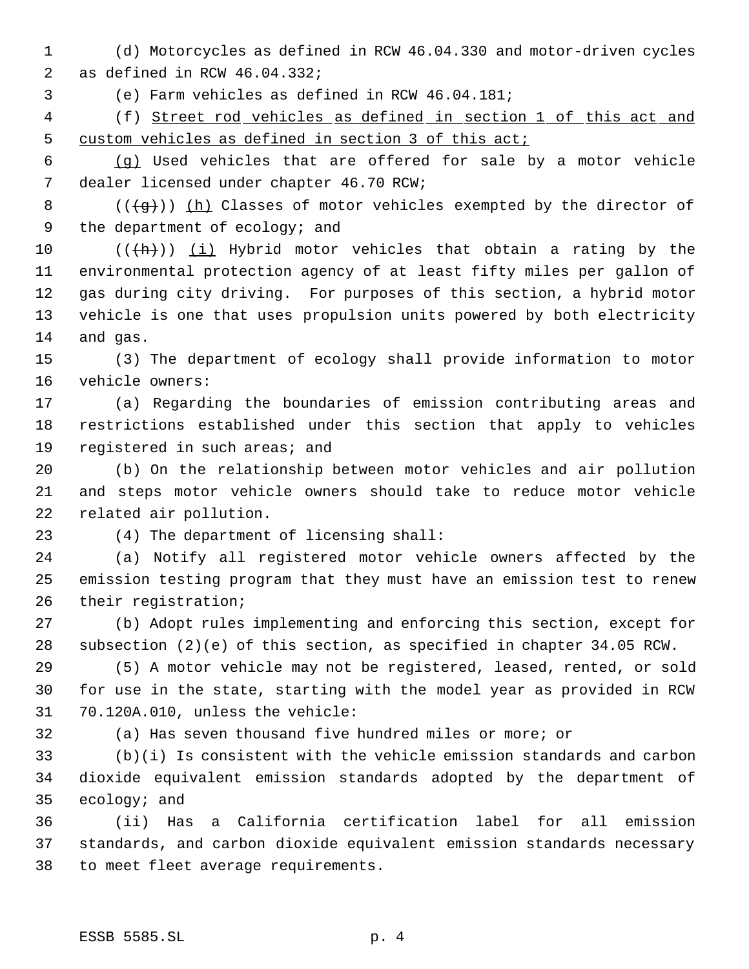- (d) Motorcycles as defined in RCW 46.04.330 and motor-driven cycles as defined in RCW 46.04.332;
- (e) Farm vehicles as defined in RCW 46.04.181;
- (f) Street rod vehicles as defined in section 1 of this act and custom vehicles as defined in section 3 of this act;
- (g) Used vehicles that are offered for sale by a motor vehicle dealer licensed under chapter 46.70 RCW;
- 8 ( $(\frac{1}{9})$ ) (h) Classes of motor vehicles exempted by the director of 9 the department of ecology; and
- $((+h))$  (i) Hybrid motor vehicles that obtain a rating by the environmental protection agency of at least fifty miles per gallon of gas during city driving. For purposes of this section, a hybrid motor vehicle is one that uses propulsion units powered by both electricity and gas.
- (3) The department of ecology shall provide information to motor vehicle owners:
- (a) Regarding the boundaries of emission contributing areas and restrictions established under this section that apply to vehicles 19 registered in such areas; and
- (b) On the relationship between motor vehicles and air pollution and steps motor vehicle owners should take to reduce motor vehicle related air pollution.
- 
- (4) The department of licensing shall:
- (a) Notify all registered motor vehicle owners affected by the emission testing program that they must have an emission test to renew their registration;
- (b) Adopt rules implementing and enforcing this section, except for subsection (2)(e) of this section, as specified in chapter 34.05 RCW.
- (5) A motor vehicle may not be registered, leased, rented, or sold for use in the state, starting with the model year as provided in RCW 70.120A.010, unless the vehicle:
- 
- (a) Has seven thousand five hundred miles or more; or
- (b)(i) Is consistent with the vehicle emission standards and carbon dioxide equivalent emission standards adopted by the department of ecology; and
- (ii) Has a California certification label for all emission standards, and carbon dioxide equivalent emission standards necessary to meet fleet average requirements.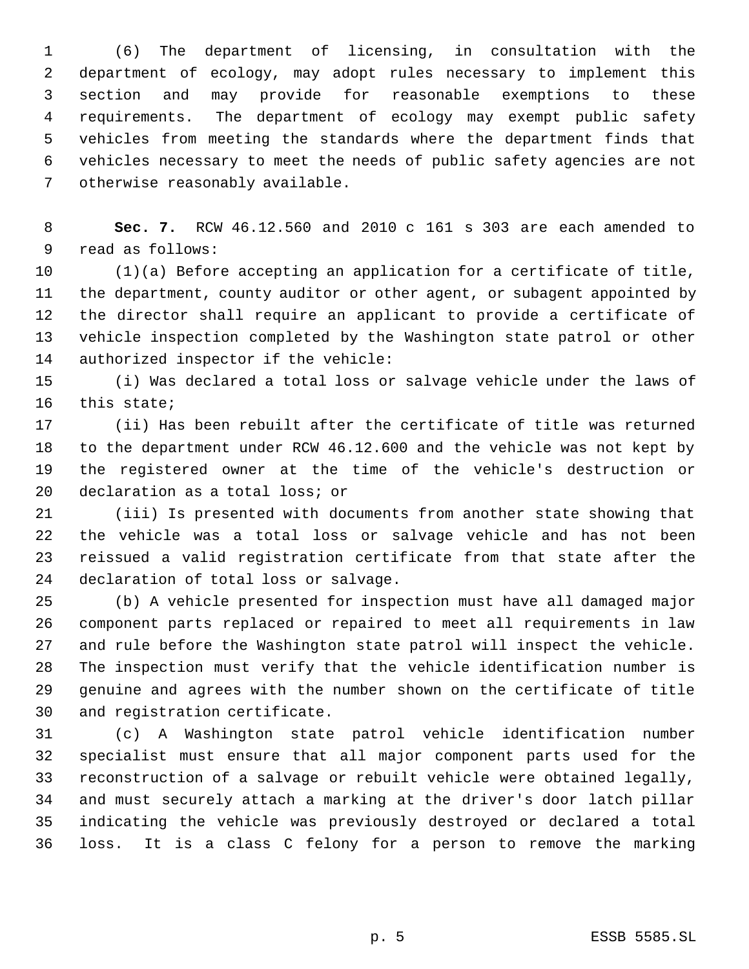(6) The department of licensing, in consultation with the department of ecology, may adopt rules necessary to implement this section and may provide for reasonable exemptions to these requirements. The department of ecology may exempt public safety vehicles from meeting the standards where the department finds that vehicles necessary to meet the needs of public safety agencies are not otherwise reasonably available.

 **Sec. 7.** RCW 46.12.560 and 2010 c 161 s 303 are each amended to read as follows:

 (1)(a) Before accepting an application for a certificate of title, the department, county auditor or other agent, or subagent appointed by the director shall require an applicant to provide a certificate of vehicle inspection completed by the Washington state patrol or other authorized inspector if the vehicle:

 (i) Was declared a total loss or salvage vehicle under the laws of this state;

 (ii) Has been rebuilt after the certificate of title was returned to the department under RCW 46.12.600 and the vehicle was not kept by the registered owner at the time of the vehicle's destruction or declaration as a total loss; or

 (iii) Is presented with documents from another state showing that the vehicle was a total loss or salvage vehicle and has not been reissued a valid registration certificate from that state after the declaration of total loss or salvage.

 (b) A vehicle presented for inspection must have all damaged major component parts replaced or repaired to meet all requirements in law and rule before the Washington state patrol will inspect the vehicle. The inspection must verify that the vehicle identification number is genuine and agrees with the number shown on the certificate of title and registration certificate.

 (c) A Washington state patrol vehicle identification number specialist must ensure that all major component parts used for the reconstruction of a salvage or rebuilt vehicle were obtained legally, and must securely attach a marking at the driver's door latch pillar indicating the vehicle was previously destroyed or declared a total loss. It is a class C felony for a person to remove the marking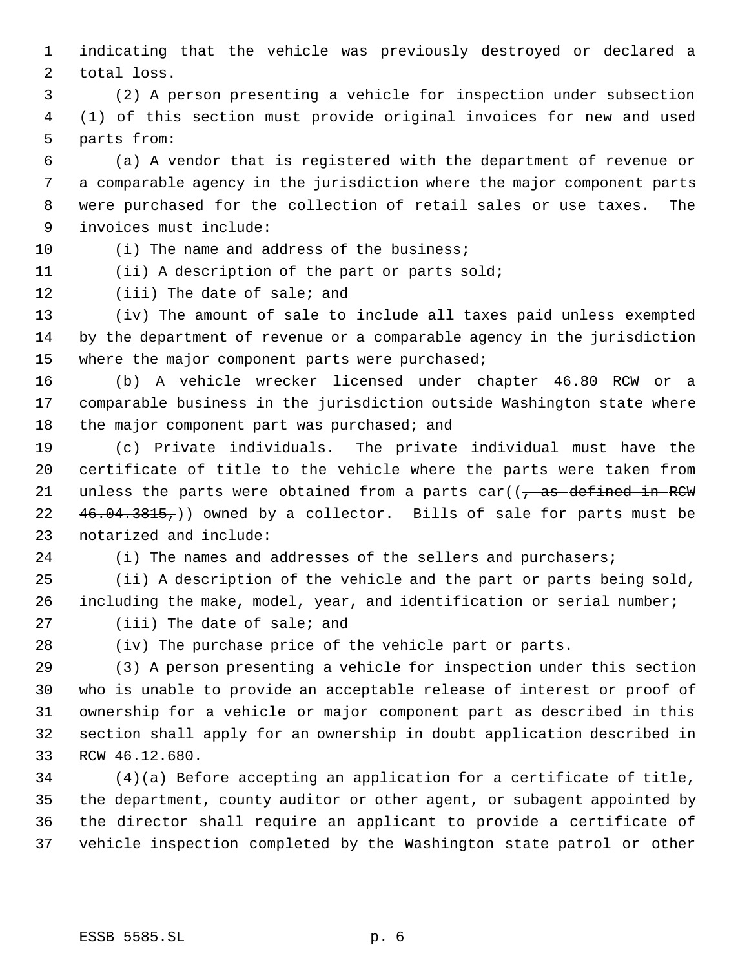indicating that the vehicle was previously destroyed or declared a total loss.

 (2) A person presenting a vehicle for inspection under subsection (1) of this section must provide original invoices for new and used parts from:

 (a) A vendor that is registered with the department of revenue or a comparable agency in the jurisdiction where the major component parts were purchased for the collection of retail sales or use taxes. The invoices must include:

10 (i) The name and address of the business;

(ii) A description of the part or parts sold;

(iii) The date of sale; and

 (iv) The amount of sale to include all taxes paid unless exempted by the department of revenue or a comparable agency in the jurisdiction 15 where the major component parts were purchased;

 (b) A vehicle wrecker licensed under chapter 46.80 RCW or a comparable business in the jurisdiction outside Washington state where 18 the major component part was purchased; and

 (c) Private individuals. The private individual must have the certificate of title to the vehicle where the parts were taken from 21 unless the parts were obtained from a parts  $car((\tau, as\text{ defined in}\text{-}\text{RCW})$ 22 46.04.3815,)) owned by a collector. Bills of sale for parts must be notarized and include:

24 (i) The names and addresses of the sellers and purchasers;

 (ii) A description of the vehicle and the part or parts being sold, including the make, model, year, and identification or serial number;

(iii) The date of sale; and

(iv) The purchase price of the vehicle part or parts.

 (3) A person presenting a vehicle for inspection under this section who is unable to provide an acceptable release of interest or proof of ownership for a vehicle or major component part as described in this section shall apply for an ownership in doubt application described in RCW 46.12.680.

 (4)(a) Before accepting an application for a certificate of title, the department, county auditor or other agent, or subagent appointed by the director shall require an applicant to provide a certificate of vehicle inspection completed by the Washington state patrol or other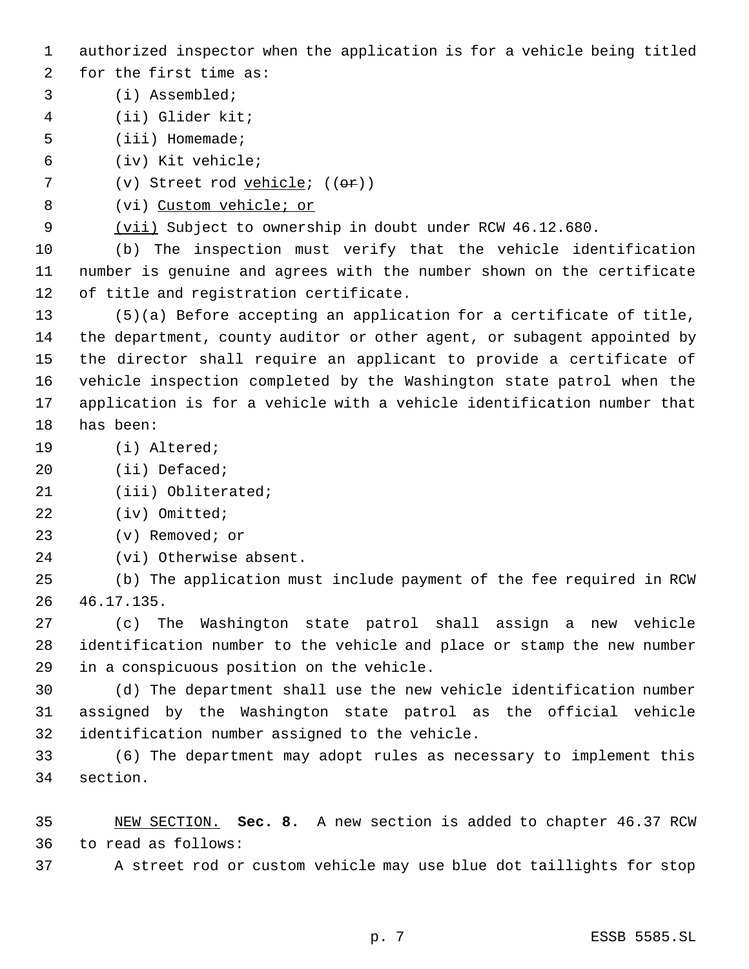authorized inspector when the application is for a vehicle being titled

for the first time as:

- (i) Assembled;
- (ii) Glider kit;
- (iii) Homemade;
- (iv) Kit vehicle;
- 7 (v) Street rod vehicle; ((or))
- (vi) Custom vehicle; or

(vii) Subject to ownership in doubt under RCW 46.12.680.

 (b) The inspection must verify that the vehicle identification number is genuine and agrees with the number shown on the certificate of title and registration certificate.

 (5)(a) Before accepting an application for a certificate of title, the department, county auditor or other agent, or subagent appointed by the director shall require an applicant to provide a certificate of vehicle inspection completed by the Washington state patrol when the application is for a vehicle with a vehicle identification number that has been:

- (i) Altered;
- (ii) Defaced;
- (iii) Obliterated;
- (iv) Omitted;
- (v) Removed; or
- (vi) Otherwise absent.

 (b) The application must include payment of the fee required in RCW 46.17.135.

 (c) The Washington state patrol shall assign a new vehicle identification number to the vehicle and place or stamp the new number in a conspicuous position on the vehicle.

 (d) The department shall use the new vehicle identification number assigned by the Washington state patrol as the official vehicle identification number assigned to the vehicle.

 (6) The department may adopt rules as necessary to implement this section.

 NEW SECTION. **Sec. 8.** A new section is added to chapter 46.37 RCW to read as follows:

A street rod or custom vehicle may use blue dot taillights for stop